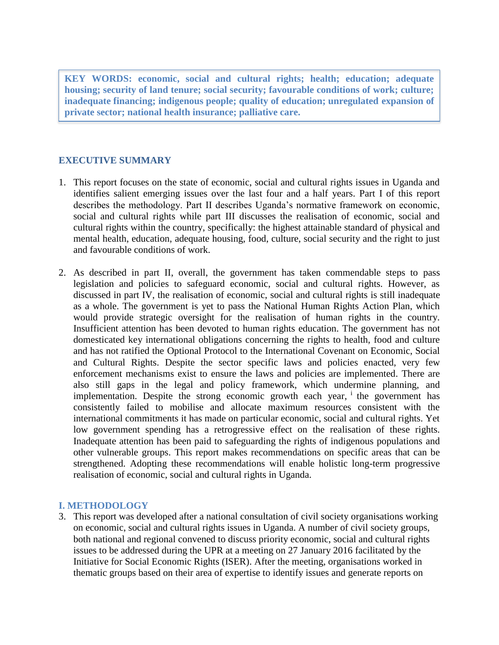**KEY WORDS: economic, social and cultural rights; health; education; adequate housing; security of land tenure; social security; favourable conditions of work; culture; inadequate financing; indigenous people; quality of education; unregulated expansion of private sector; national health insurance; palliative care.**

## **EXECUTIVE SUMMARY**

- 1. This report focuses on the state of economic, social and cultural rights issues in Uganda and identifies salient emerging issues over the last four and a half years. Part I of this report describes the methodology. Part II describes Uganda's normative framework on economic, social and cultural rights while part III discusses the realisation of economic, social and cultural rights within the country, specifically: the highest attainable standard of physical and mental health, education, adequate housing, food, culture, social security and the right to just and favourable conditions of work.
- 2. As described in part II, overall, the government has taken commendable steps to pass legislation and policies to safeguard economic, social and cultural rights. However, as discussed in part IV, the realisation of economic, social and cultural rights is still inadequate as a whole. The government is yet to pass the National Human Rights Action Plan, which would provide strategic oversight for the realisation of human rights in the country. Insufficient attention has been devoted to human rights education. The government has not domesticated key international obligations concerning the rights to health, food and culture and has not ratified the Optional Protocol to the International Covenant on Economic, Social and Cultural Rights. Despite the sector specific laws and policies enacted, very few enforcement mechanisms exist to ensure the laws and policies are implemented. There are also still gaps in the legal and policy framework, which undermine planning, and implementation. Despite the strong economic growth each year, <sup>i</sup> the government has consistently failed to mobilise and allocate maximum resources consistent with the international commitments it has made on particular economic, social and cultural rights. Yet low government spending has a retrogressive effect on the realisation of these rights. Inadequate attention has been paid to safeguarding the rights of indigenous populations and other vulnerable groups. This report makes recommendations on specific areas that can be strengthened. Adopting these recommendations will enable holistic long-term progressive realisation of economic, social and cultural rights in Uganda.

### **I. METHODOLOGY**

3. This report was developed after a national consultation of civil society organisations working on economic, social and cultural rights issues in Uganda. A number of civil society groups, both national and regional convened to discuss priority economic, social and cultural rights issues to be addressed during the UPR at a meeting on 27 January 2016 facilitated by the Initiative for Social Economic Rights (ISER). After the meeting, organisations worked in thematic groups based on their area of expertise to identify issues and generate reports on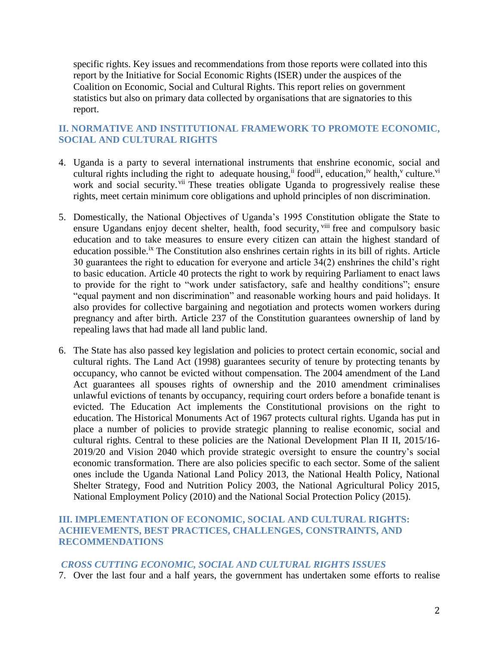specific rights. Key issues and recommendations from those reports were collated into this report by the Initiative for Social Economic Rights (ISER) under the auspices of the Coalition on Economic, Social and Cultural Rights. This report relies on government statistics but also on primary data collected by organisations that are signatories to this report.

# **II. NORMATIVE AND INSTITUTIONAL FRAMEWORK TO PROMOTE ECONOMIC, SOCIAL AND CULTURAL RIGHTS**

- 4. Uganda is a party to several international instruments that enshrine economic, social and cultural rights including the right to adequate housing, i food ii, education, iv health, v culture. Vi work and social security. <sup>vii</sup> These treaties obligate Uganda to progressively realise these rights, meet certain minimum core obligations and uphold principles of non discrimination.
- 5. Domestically, the National Objectives of Uganda's 1995 Constitution obligate the State to ensure Ugandans enjoy decent shelter, health, food security, vill free and compulsory basic education and to take measures to ensure every citizen can attain the highest standard of education possible.<sup>ix</sup> The Constitution also enshrines certain rights in its bill of rights. Article 30 guarantees the right to education for everyone and article 34(2) enshrines the child's right to basic education. Article 40 protects the right to work by requiring Parliament to enact laws to provide for the right to "work under satisfactory, safe and healthy conditions"; ensure "equal payment and non discrimination" and reasonable working hours and paid holidays. It also provides for collective bargaining and negotiation and protects women workers during pregnancy and after birth. Article 237 of the Constitution guarantees ownership of land by repealing laws that had made all land public land.
- 6. The State has also passed key legislation and policies to protect certain economic, social and cultural rights. The Land Act (1998) guarantees security of tenure by protecting tenants by occupancy, who cannot be evicted without compensation. The 2004 amendment of the Land Act guarantees all spouses rights of ownership and the 2010 amendment criminalises unlawful evictions of tenants by occupancy, requiring court orders before a bonafide tenant is evicted. The Education Act implements the Constitutional provisions on the right to education. The Historical Monuments Act of 1967 protects cultural rights. Uganda has put in place a number of policies to provide strategic planning to realise economic, social and cultural rights. Central to these policies are the National Development Plan II II, 2015/16- 2019/20 and Vision 2040 which provide strategic oversight to ensure the country's social economic transformation. There are also policies specific to each sector. Some of the salient ones include the Uganda National Land Policy 2013, the National Health Policy, National Shelter Strategy, Food and Nutrition Policy 2003, the National Agricultural Policy 2015, National Employment Policy (2010) and the National Social Protection Policy (2015).

# **III. IMPLEMENTATION OF ECONOMIC, SOCIAL AND CULTURAL RIGHTS: ACHIEVEMENTS, BEST PRACTICES, CHALLENGES, CONSTRAINTS, AND RECOMMENDATIONS**

### *CROSS CUTTING ECONOMIC, SOCIAL AND CULTURAL RIGHTS ISSUES*

7. Over the last four and a half years, the government has undertaken some efforts to realise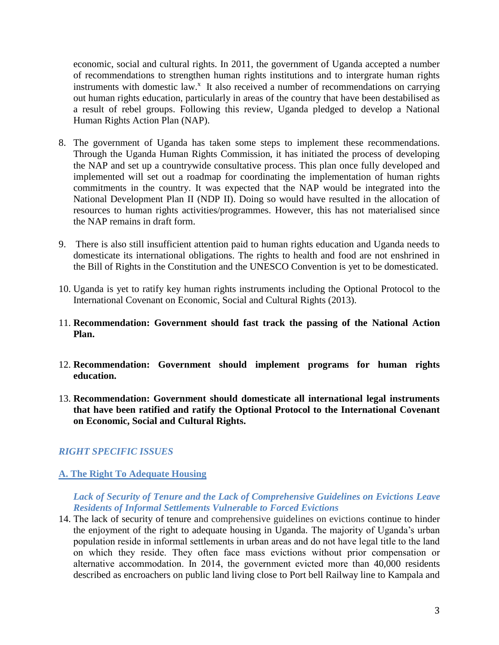economic, social and cultural rights. In 2011, the government of Uganda accepted a number of recommendations to strengthen human rights institutions and to intergrate human rights instruments with domestic law.<sup>x</sup> It also received a number of recommendations on carrying out human rights education, particularly in areas of the country that have been destabilised as a result of rebel groups. Following this review, Uganda pledged to develop a National Human Rights Action Plan (NAP).

- 8. The government of Uganda has taken some steps to implement these recommendations. Through the Uganda Human Rights Commission, it has initiated the process of developing the NAP and set up a countrywide consultative process. This plan once fully developed and implemented will set out a roadmap for coordinating the implementation of human rights commitments in the country. It was expected that the NAP would be integrated into the National Development Plan II (NDP II). Doing so would have resulted in the allocation of resources to human rights activities/programmes. However, this has not materialised since the NAP remains in draft form.
- 9. There is also still insufficient attention paid to human rights education and Uganda needs to domesticate its international obligations. The rights to health and food are not enshrined in the Bill of Rights in the Constitution and the UNESCO Convention is yet to be domesticated.
- 10. Uganda is yet to ratify key human rights instruments including the Optional Protocol to the International Covenant on Economic, Social and Cultural Rights (2013).
- 11. **Recommendation: Government should fast track the passing of the National Action Plan.**
- 12. **Recommendation: Government should implement programs for human rights education.**
- 13. **Recommendation: Government should domesticate all international legal instruments that have been ratified and ratify the Optional Protocol to the International Covenant on Economic, Social and Cultural Rights.**

# *RIGHT SPECIFIC ISSUES*

### **A. The Right To Adequate Housing**

*Lack of Security of Tenure and the Lack of Comprehensive Guidelines on Evictions Leave Residents of Informal Settlements Vulnerable to Forced Evictions*

14. The lack of security of tenure and comprehensive guidelines on evictions continue to hinder the enjoyment of the right to adequate housing in Uganda. The majority of Uganda's urban population reside in informal settlements in urban areas and do not have legal title to the land on which they reside. They often face mass evictions without prior compensation or alternative accommodation. In 2014, the government evicted more than 40,000 residents described as encroachers on public land living close to Port bell Railway line to Kampala and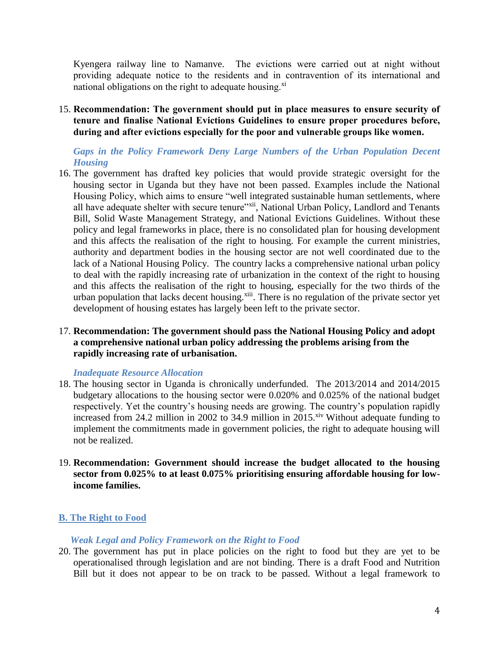Kyengera railway line to Namanve. The evictions were carried out at night without providing adequate notice to the residents and in contravention of its international and national obligations on the right to adequate housing.<sup>xi</sup>

15. **Recommendation: The government should put in place measures to ensure security of tenure and finalise National Evictions Guidelines to ensure proper procedures before, during and after evictions especially for the poor and vulnerable groups like women.**

*Gaps in the Policy Framework Deny Large Numbers of the Urban Population Decent Housing*

16. The government has drafted key policies that would provide strategic oversight for the housing sector in Uganda but they have not been passed. Examples include the National Housing Policy, which aims to ensure "well integrated sustainable human settlements, where all have adequate shelter with secure tenure"xii, National Urban Policy, Landlord and Tenants Bill, Solid Waste Management Strategy, and National Evictions Guidelines. Without these policy and legal frameworks in place, there is no consolidated plan for housing development and this affects the realisation of the right to housing. For example the current ministries, authority and department bodies in the housing sector are not well coordinated due to the lack of a National Housing Policy. The country lacks a comprehensive national urban policy to deal with the rapidly increasing rate of urbanization in the context of the right to housing and this affects the realisation of the right to housing, especially for the two thirds of the urban population that lacks decent housing.<sup>xiii</sup>. There is no regulation of the private sector yet development of housing estates has largely been left to the private sector.

## 17. **Recommendation: The government should pass the National Housing Policy and adopt a comprehensive national urban policy addressing the problems arising from the rapidly increasing rate of urbanisation.**

### *Inadequate Resource Allocation*

- 18. The housing sector in Uganda is chronically underfunded. The 2013/2014 and 2014/2015 budgetary allocations to the housing sector were 0.020% and 0.025% of the national budget respectively. Yet the country's housing needs are growing. The country's population rapidly increased from 24.2 million in 2002 to 34.9 million in 2015.<sup>xiv</sup> Without adequate funding to implement the commitments made in government policies, the right to adequate housing will not be realized.
- 19. **Recommendation: Government should increase the budget allocated to the housing sector from 0.025% to at least 0.075% prioritising ensuring affordable housing for lowincome families.**

### **B. The Right to Food**

### *Weak Legal and Policy Framework on the Right to Food*

20. The government has put in place policies on the right to food but they are yet to be operationalised through legislation and are not binding. There is a draft Food and Nutrition Bill but it does not appear to be on track to be passed. Without a legal framework to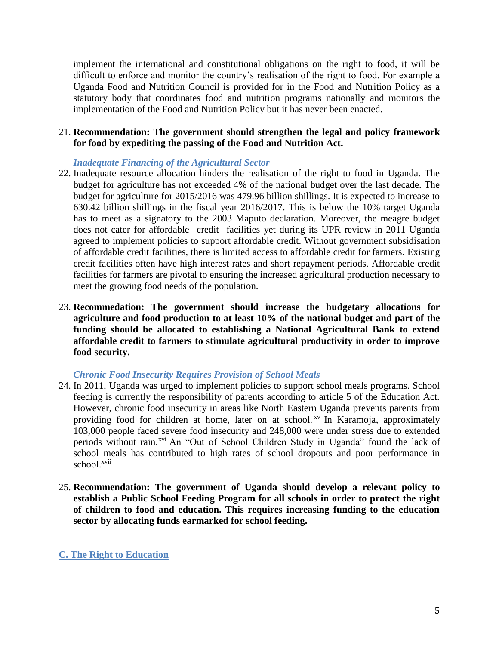implement the international and constitutional obligations on the right to food, it will be difficult to enforce and monitor the country's realisation of the right to food. For example a Uganda Food and Nutrition Council is provided for in the Food and Nutrition Policy as a statutory body that coordinates food and nutrition programs nationally and monitors the implementation of the Food and Nutrition Policy but it has never been enacted.

## 21. **Recommendation: The government should strengthen the legal and policy framework for food by expediting the passing of the Food and Nutrition Act.**

## *Inadequate Financing of the Agricultural Sector*

- 22. Inadequate resource allocation hinders the realisation of the right to food in Uganda. The budget for agriculture has not exceeded 4% of the national budget over the last decade. The budget for agriculture for 2015/2016 was 479.96 billion shillings. It is expected to increase to 630.42 billion shillings in the fiscal year 2016/2017. This is below the 10% target Uganda has to meet as a signatory to the 2003 Maputo declaration. Moreover, the meagre budget does not cater for affordable credit facilities yet during its UPR review in 2011 Uganda agreed to implement policies to support affordable credit. Without government subsidisation of affordable credit facilities, there is limited access to affordable credit for farmers. Existing credit facilities often have high interest rates and short repayment periods. Affordable credit facilities for farmers are pivotal to ensuring the increased agricultural production necessary to meet the growing food needs of the population.
- 23. **Recommedation: The government should increase the budgetary allocations for agriculture and food production to at least 10% of the national budget and part of the funding should be allocated to establishing a National Agricultural Bank to extend affordable credit to farmers to stimulate agricultural productivity in order to improve food security.**

### *Chronic Food Insecurity Requires Provision of School Meals*

- 24. In 2011, Uganda was urged to implement policies to support school meals programs. School feeding is currently the responsibility of parents according to article 5 of the Education Act. However, chronic food insecurity in areas like North Eastern Uganda prevents parents from providing food for children at home, later on at school.<sup> $xy$ </sup> In Karamoja, approximately 103,000 people faced severe food insecurity and 248,000 were under stress due to extended periods without rain.<sup>xvi</sup> An "Out of School Children Study in Uganda" found the lack of school meals has contributed to high rates of school dropouts and poor performance in school.<sup>xvii</sup>
- 25. **Recommendation: The government of Uganda should develop a relevant policy to establish a Public School Feeding Program for all schools in order to protect the right of children to food and education. This requires increasing funding to the education sector by allocating funds earmarked for school feeding.**

## **C. The Right to Education**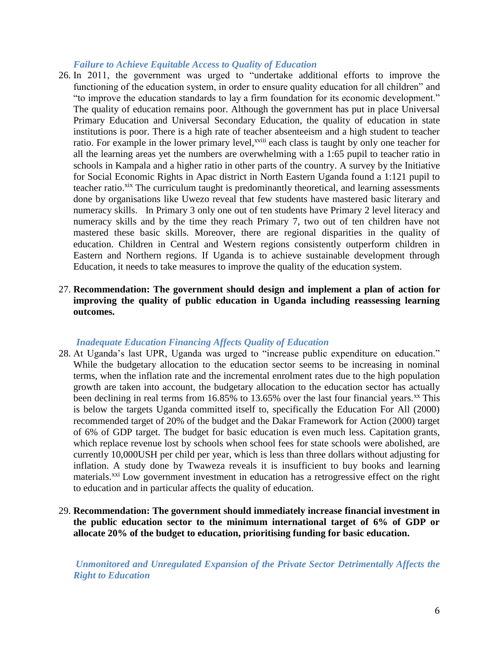#### *Failure to Achieve Equitable Access to Quality of Education*

- 26. In 2011, the government was urged to "undertake additional efforts to improve the functioning of the education system, in order to ensure quality education for all children" and "to improve the education standards to lay a firm foundation for its economic development." The quality of education remains poor. Although the government has put in place Universal Primary Education and Universal Secondary Education, the quality of education in state institutions is poor. There is a high rate of teacher absenteeism and a high student to teacher ratio. For example in the lower primary level,<sup>xviii</sup> each class is taught by only one teacher for all the learning areas yet the numbers are overwhelming with a 1:65 pupil to teacher ratio in schools in Kampala and a higher ratio in other parts of the country. A survey by the Initiative for Social Economic Rights in Apac district in North Eastern Uganda found a 1:121 pupil to teacher ratio.<sup>xix</sup> The curriculum taught is predominantly theoretical, and learning assessments done by organisations like Uwezo reveal that few students have mastered basic literary and numeracy skills. In Primary 3 only one out of ten students have Primary 2 level literacy and numeracy skills and by the time they reach Primary 7, two out of ten children have not mastered these basic skills. Moreover, there are regional disparities in the quality of education. Children in Central and Western regions consistently outperform children in Eastern and Northern regions. If Uganda is to achieve sustainable development through Education, it needs to take measures to improve the quality of the education system.
- 27. **Recommendation: The government should design and implement a plan of action for improving the quality of public education in Uganda including reassessing learning outcomes.**

#### *Inadequate Education Financing Affects Quality of Education*

- 28. At Uganda's last UPR, Uganda was urged to "increase public expenditure on education." While the budgetary allocation to the education sector seems to be increasing in nominal terms, when the inflation rate and the incremental enrolment rates due to the high population growth are taken into account, the budgetary allocation to the education sector has actually been declining in real terms from  $16.85\%$  to  $13.65\%$  over the last four financial years.<sup>xx</sup> This is below the targets Uganda committed itself to, specifically the Education For All (2000) recommended target of 20% of the budget and the Dakar Framework for Action (2000) target of 6% of GDP target. The budget for basic education is even much less. Capitation grants, which replace revenue lost by schools when school fees for state schools were abolished, are currently 10,000USH per child per year, which is less than three dollars without adjusting for inflation. A study done by Twaweza reveals it is insufficient to buy books and learning materials.<sup>xxi</sup> Low government investment in education has a retrogressive effect on the right to education and in particular affects the quality of education.
- 29. **Recommendation: The government should immediately increase financial investment in the public education sector to the minimum international target of 6% of GDP or allocate 20% of the budget to education, prioritising funding for basic education.**

*Unmonitored and Unregulated Expansion of the Private Sector Detrimentally Affects the Right to Education*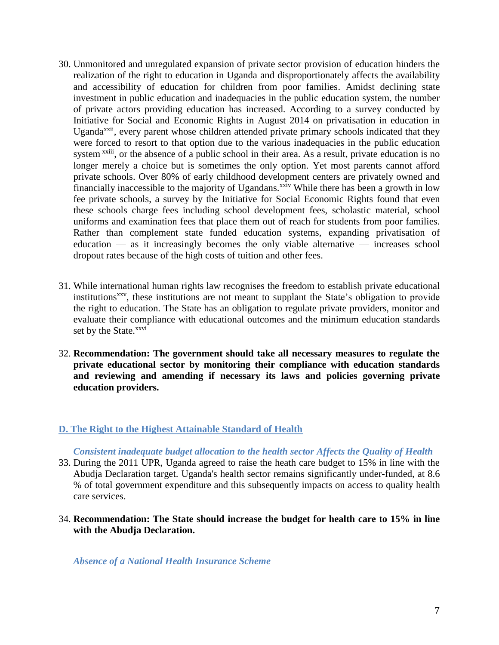- 30. Unmonitored and unregulated expansion of private sector provision of education hinders the realization of the right to education in Uganda and disproportionately affects the availability and accessibility of education for children from poor families. Amidst declining state investment in public education and inadequacies in the public education system, the number of private actors providing education has increased. According to a survey conducted by Initiative for Social and Economic Rights in August 2014 on privatisation in education in Uganda<sup>xxii</sup>, every parent whose children attended private primary schools indicated that they were forced to resort to that option due to the various inadequacies in the public education system <sup>xxiii</sup>, or the absence of a public school in their area. As a result, private education is no longer merely a choice but is sometimes the only option. Yet most parents cannot afford private schools. Over 80% of early childhood development centers are privately owned and financially inaccessible to the majority of Ugandans.<sup>xxiv</sup> While there has been a growth in low fee private schools, a survey by the Initiative for Social Economic Rights found that even these schools charge fees including school development fees, scholastic material, school uniforms and examination fees that place them out of reach for students from poor families. Rather than complement state funded education systems, expanding privatisation of education — as it increasingly becomes the only viable alternative — increases school dropout rates because of the high costs of tuition and other fees.
- 31. While international human rights law recognises the freedom to establish private educational institutions<sup>xxv</sup>, these institutions are not meant to supplant the State's obligation to provide the right to education. The State has an obligation to regulate private providers, monitor and evaluate their compliance with educational outcomes and the minimum education standards set by the State.<sup>xxvi</sup>
- 32. **Recommendation: The government should take all necessary measures to regulate the private educational sector by monitoring their compliance with education standards and reviewing and amending if necessary its laws and policies governing private education providers.**

### **D. The Right to the Highest Attainable Standard of Health**

### *Consistent inadequate budget allocation to the health sector Affects the Quality of Health*

- 33. During the 2011 UPR, Uganda agreed to raise the heath care budget to 15% in line with the Abudja Declaration target. Uganda's health sector remains significantly under-funded, at 8.6 % of total government expenditure and this subsequently impacts on access to quality health care services.
- 34. **Recommendation: The State should increase the budget for health care to 15% in line with the Abudja Declaration.**

*Absence of a National Health Insurance Scheme*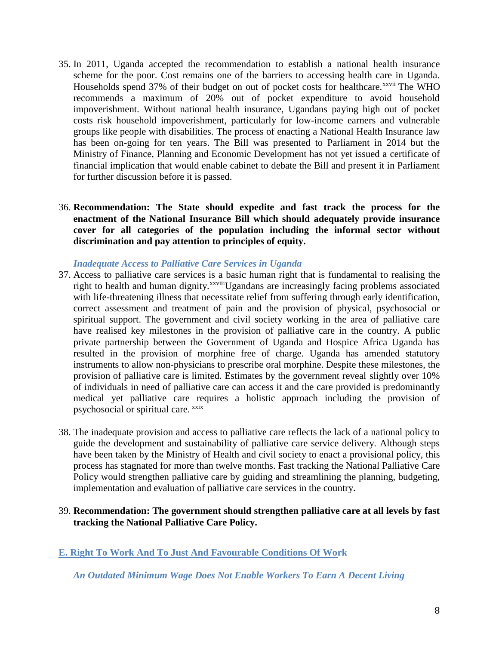- 35. In 2011, Uganda accepted the recommendation to establish a national health insurance scheme for the poor. Cost remains one of the barriers to accessing health care in Uganda. Households spend 37% of their budget on out of pocket costs for healthcare.<sup>xxvii</sup> The WHO recommends a maximum of 20% out of pocket expenditure to avoid household impoverishment. Without national health insurance, Ugandans paying high out of pocket costs risk household impoverishment, particularly for low-income earners and vulnerable groups like people with disabilities. The process of enacting a National Health Insurance law has been on-going for ten years. The Bill was presented to Parliament in 2014 but the Ministry of Finance, Planning and Economic Development has not yet issued a certificate of financial implication that would enable cabinet to debate the Bill and present it in Parliament for further discussion before it is passed.
- 36. **Recommendation: The State should expedite and fast track the process for the enactment of the National Insurance Bill which should adequately provide insurance cover for all categories of the population including the informal sector without discrimination and pay attention to principles of equity.**

### *Inadequate Access to Palliative Care Services in Uganda*

- 37. Access to palliative care services is a basic human right that is fundamental to realising the right to health and human dignity.<sup>xxviii</sup>Ugandans are increasingly facing problems associated with life-threatening illness that necessitate relief from suffering through early identification, correct assessment and treatment of pain and the provision of physical, psychosocial or spiritual support. The government and civil society working in the area of palliative care have realised key milestones in the provision of palliative care in the country. A public private partnership between the Government of Uganda and Hospice Africa Uganda has resulted in the provision of morphine free of charge. Uganda has amended statutory instruments to allow non-physicians to prescribe oral morphine. Despite these milestones, the provision of palliative care is limited. Estimates by the government reveal slightly over 10% of individuals in need of palliative care can access it and the care provided is predominantly medical yet palliative care requires a holistic approach including the provision of psychosocial or spiritual care. <sup>xxix</sup>
- 38. The inadequate provision and access to palliative care reflects the lack of a national policy to guide the development and sustainability of palliative care service delivery. Although steps have been taken by the Ministry of Health and civil society to enact a provisional policy, this process has stagnated for more than twelve months. Fast tracking the National Palliative Care Policy would strengthen palliative care by guiding and streamlining the planning, budgeting, implementation and evaluation of palliative care services in the country.
- 39. **Recommendation: The government should strengthen palliative care at all levels by fast tracking the National Palliative Care Policy.**

# **E. Right To Work And To Just And Favourable Conditions Of Work**

*An Outdated Minimum Wage Does Not Enable Workers To Earn A Decent Living*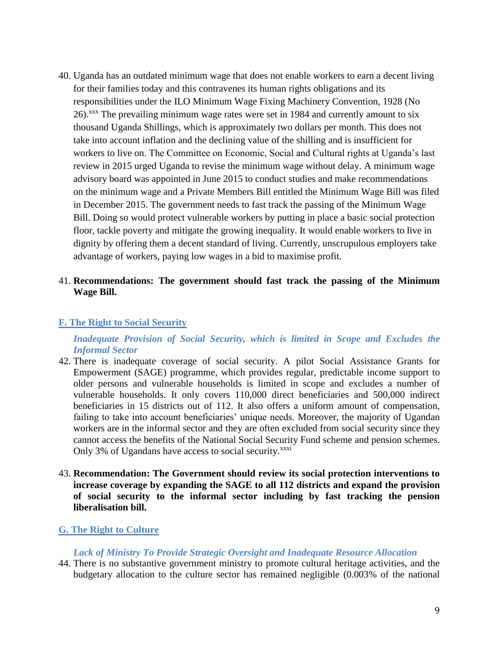40. Uganda has an outdated minimum wage that does not enable workers to earn a decent living for their families today and this contravenes its human rights obligations and its responsibilities under the ILO Minimum Wage Fixing Machinery Convention, 1928 (No 26). xxx The prevailing minimum wage rates were set in 1984 and currently amount to six thousand Uganda Shillings, which is approximately two dollars per month. This does not take into account inflation and the declining value of the shilling and is insufficient for workers to live on. The Committee on Economic, Social and Cultural rights at Uganda's last review in 2015 urged Uganda to revise the minimum wage without delay. A minimum wage advisory board was appointed in June 2015 to conduct studies and make recommendations on the minimum wage and a Private Members Bill entitled the Minimum Wage Bill was filed in December 2015. The government needs to fast track the passing of the Minimum Wage Bill. Doing so would protect vulnerable workers by putting in place a basic social protection floor, tackle poverty and mitigate the growing inequality. It would enable workers to live in dignity by offering them a decent standard of living. Currently, unscrupulous employers take advantage of workers, paying low wages in a bid to maximise profit.

## 41. **Recommendations: The government should fast track the passing of the Minimum Wage Bill.**

### **F. The Right to Social Security**

*Inadequate Provision of Social Security, which is limited in Scope and Excludes the Informal Sector*

- 42. There is inadequate coverage of social security. A pilot Social Assistance Grants for Empowerment (SAGE) programme, which provides regular, predictable income support to older persons and vulnerable households is limited in scope and excludes a number of vulnerable households. It only covers 110,000 direct beneficiaries and 500,000 indirect beneficiaries in 15 districts out of 112. It also offers a uniform amount of compensation, failing to take into account beneficiaries' unique needs. Moreover, the majority of Ugandan workers are in the informal sector and they are often excluded from social security since they cannot access the benefits of the National Social Security Fund scheme and pension schemes. Only 3% of Ugandans have access to social security.<sup>xxxi</sup>
- 43. **Recommendation: The Government should review its social protection interventions to increase coverage by expanding the SAGE to all 112 districts and expand the provision of social security to the informal sector including by fast tracking the pension liberalisation bill.**

### **G. The Right to Culture**

#### *Lack of Ministry To Provide Strategic Oversight and Inadequate Resource Allocation*

44. There is no substantive government ministry to promote cultural heritage activities, and the budgetary allocation to the culture sector has remained negligible (0.003% of the national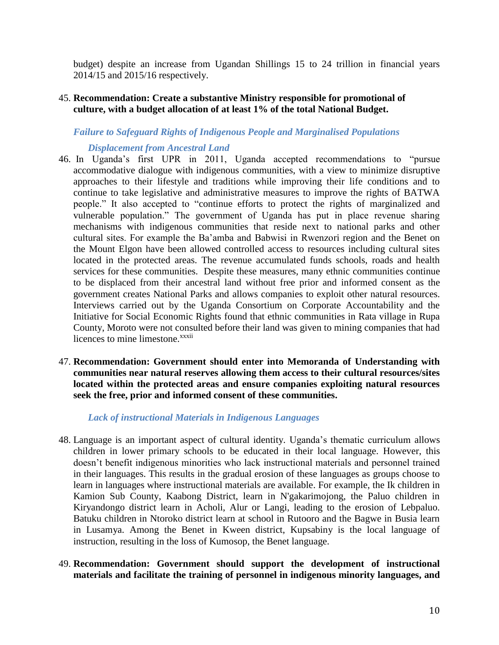budget) despite an increase from Ugandan Shillings 15 to 24 trillion in financial years 2014/15 and 2015/16 respectively.

### 45. **Recommendation: Create a substantive Ministry responsible for promotional of culture, with a budget allocation of at least 1% of the total National Budget.**

## *Failure to Safeguard Rights of Indigenous People and Marginalised Populations*

### *Displacement from Ancestral Land*

- 46. In Uganda's first UPR in 2011, Uganda accepted recommendations to "pursue accommodative dialogue with indigenous communities, with a view to minimize disruptive approaches to their lifestyle and traditions while improving their life conditions and to continue to take legislative and administrative measures to improve the rights of BATWA people." It also accepted to "continue efforts to protect the rights of marginalized and vulnerable population." The government of Uganda has put in place revenue sharing mechanisms with indigenous communities that reside next to national parks and other cultural sites. For example the Ba'amba and Babwisi in Rwenzori region and the Benet on the Mount Elgon have been allowed controlled access to resources including cultural sites located in the protected areas. The revenue accumulated funds schools, roads and health services for these communities. Despite these measures, many ethnic communities continue to be displaced from their ancestral land without free prior and informed consent as the government creates National Parks and allows companies to exploit other natural resources. Interviews carried out by the Uganda Consortium on Corporate Accountability and the Initiative for Social Economic Rights found that ethnic communities in Rata village in Rupa County, Moroto were not consulted before their land was given to mining companies that had licences to mine limestone.<sup>xxxii</sup>
- 47. **Recommendation: Government should enter into Memoranda of Understanding with communities near natural reserves allowing them access to their cultural resources/sites located within the protected areas and ensure companies exploiting natural resources seek the free, prior and informed consent of these communities.**

### *Lack of instructional Materials in Indigenous Languages*

- 48. Language is an important aspect of cultural identity. Uganda's thematic curriculum allows children in lower primary schools to be educated in their local language. However, this doesn't benefit indigenous minorities who lack instructional materials and personnel trained in their languages. This results in the gradual erosion of these languages as groups choose to learn in languages where instructional materials are available. For example, the Ik children in Kamion Sub County, Kaabong District, learn in N'gakarimojong, the Paluo children in Kiryandongo district learn in Acholi, Alur or Langi, leading to the erosion of Lebpaluo. Batuku children in Ntoroko district learn at school in Rutooro and the Bagwe in Busia learn in Lusamya. Among the Benet in Kween district, Kupsabiny is the local language of instruction, resulting in the loss of Kumosop, the Benet language.
- 49. **Recommendation: Government should support the development of instructional materials and facilitate the training of personnel in indigenous minority languages, and**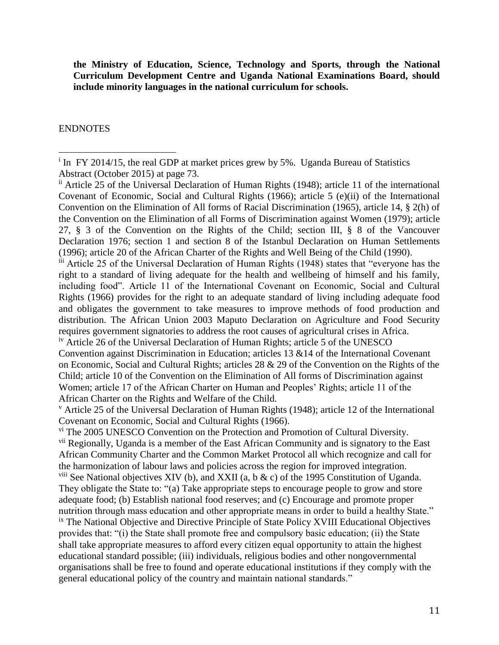**the Ministry of Education, Science, Technology and Sports, through the National Curriculum Development Centre and Uganda National Examinations Board, should include minority languages in the national curriculum for schools.**

### ENDNOTES

 $\overline{a}$ 

iii Article 25 of the Universal Declaration of Human Rights (1948) states that "everyone has the right to a standard of living adequate for the health and wellbeing of himself and his family, including food". Article 11 of the International Covenant on Economic, Social and Cultural Rights (1966) provides for the right to an adequate standard of living including adequate food and obligates the government to take measures to improve methods of food production and distribution. The African Union 2003 Maputo Declaration on Agriculture and Food Security requires government signatories to address the root causes of agricultural crises in Africa.

iv Article 26 of the Universal Declaration of Human Rights; article 5 of the UNESCO Convention against Discrimination in Education; articles 13 &14 of the International Covenant on Economic, Social and Cultural Rights; articles 28 & 29 of the Convention on the Rights of the Child; article 10 of the Convention on the Elimination of All forms of Discrimination against Women; article 17 of the African Charter on Human and Peoples' Rights; article 11 of the African Charter on the Rights and Welfare of the Child.

<sup>v</sup> Article 25 of the Universal Declaration of Human Rights (1948); article 12 of the International Covenant on Economic, Social and Cultural Rights (1966).

vi The 2005 UNESCO Convention on the Protection and Promotion of Cultural Diversity. vii Regionally, Uganda is a member of the East African Community and is signatory to the East African Community Charter and the Common Market Protocol all which recognize and call for the harmonization of labour laws and policies across the region for improved integration. <sup>viii</sup> See National objectives XIV (b), and XXII (a, b  $\&$  c) of the 1995 Constitution of Uganda. They obligate the State to: "(a) Take appropriate steps to encourage people to grow and store adequate food; (b) Establish national food reserves; and (c) Encourage and promote proper nutrition through mass education and other appropriate means in order to build a healthy State." <sup>ix</sup> The National Objective and Directive Principle of State Policy XVIII Educational Objectives provides that: "(i) the State shall promote free and compulsory basic education; (ii) the State shall take appropriate measures to afford every citizen equal opportunity to attain the highest educational standard possible; (iii) individuals, religious bodies and other nongovernmental organisations shall be free to found and operate educational institutions if they comply with the general educational policy of the country and maintain national standards."

<sup>&</sup>lt;sup>i</sup> In FY 2014/15, the real GDP at market prices grew by 5%. Uganda Bureau of Statistics Abstract (October 2015) at page 73.

ii Article 25 of the Universal Declaration of Human Rights (1948); article 11 of the international Covenant of Economic, Social and Cultural Rights (1966); article 5 (e)(ii) of the International Convention on the Elimination of All forms of Racial Discrimination (1965), article 14, § 2(h) of the Convention on the Elimination of all Forms of Discrimination against Women (1979); article 27, § 3 of the Convention on the Rights of the Child; section III, § 8 of the Vancouver Declaration 1976; section 1 and section 8 of the Istanbul Declaration on Human Settlements (1996); article 20 of the African Charter of the Rights and Well Being of the Child (1990).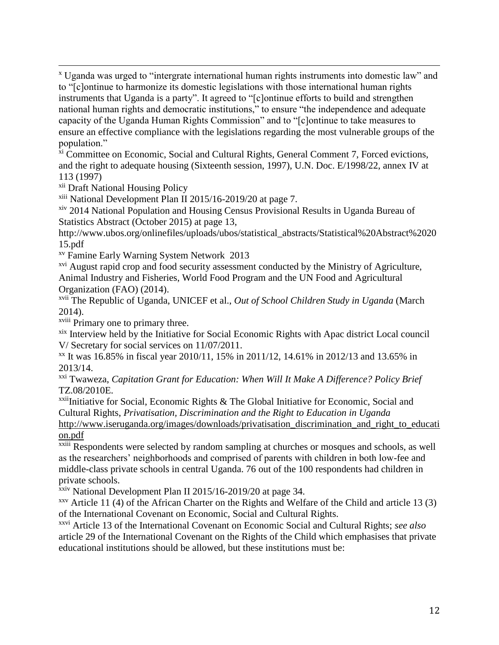$\overline{a}$ <sup>x</sup> Uganda was urged to "intergrate international human rights instruments into domestic law" and to "[c]ontinue to harmonize its domestic legislations with those international human rights instruments that Uganda is a party". It agreed to "[c]ontinue efforts to build and strengthen national human rights and democratic institutions," to ensure "the independence and adequate capacity of the Uganda Human Rights Commission" and to "[c]ontinue to take measures to ensure an effective compliance with the legislations regarding the most vulnerable groups of the population."

 $\overline{x}$  Committee on Economic, Social and Cultural Rights, General Comment 7, Forced evictions, and the right to adequate housing (Sixteenth session, 1997), U.N. Doc. E/1998/22, annex IV at 113 (1997)

xii Draft National Housing Policy

xiii National Development Plan II 2015/16-2019/20 at page 7.

xiv 2014 National Population and Housing Census Provisional Results in Uganda Bureau of Statistics Abstract (October 2015) at page 13,

http://www.ubos.org/onlinefiles/uploads/ubos/statistical\_abstracts/Statistical%20Abstract%2020 15.pdf

xv Famine Early Warning System Network 2013

<sup>xvi</sup> August rapid crop and food security assessment conducted by the Ministry of Agriculture, Animal Industry and Fisheries, World Food Program and the UN Food and Agricultural Organization (FAO) (2014).

xvii The Republic of Uganda, UNICEF et al., *Out of School Children Study in Uganda* (March 2014).

xviii Primary one to primary three.

xix Interview held by the Initiative for Social Economic Rights with Apac district Local council V/ Secretary for social services on 11/07/2011.

xx It was 16.85% in fiscal year 2010/11, 15% in 2011/12, 14.61% in 2012/13 and 13.65% in 2013/14.

xxi Twaweza, *Capitation Grant for Education: When Will It Make A Difference? Policy Brief* TZ.08/2010E.

 $xxi$ <sup>xxii</sup>Initiative for Social, Economic Rights & The Global Initiative for Economic, Social and Cultural Rights, *Privatisation, Discrimination and the Right to Education in Uganda*

[http://www.iseruganda.org/images/downloads/privatisation\\_discrimination\\_and\\_right\\_to\\_educati](http://www.iser-uganda.org/images/downloads/privatisation_discrimination_and_right_to_education.pdf) [on.pdf](http://www.iser-uganda.org/images/downloads/privatisation_discrimination_and_right_to_education.pdf)

<sup>xxiii</sup> Respondents were selected by random sampling at churches or mosques and schools, as well as the researchers' neighborhoods and comprised of parents with children in both low-fee and middle-class private schools in central Uganda. 76 out of the 100 respondents had children in private schools.

<sup>xxiv</sup> National Development Plan II 2015/16-2019/20 at page 34.

 $xxy$  Article 11 (4) of the African Charter on the Rights and Welfare of the Child and article 13 (3) of the International Covenant on Economic, Social and Cultural Rights.

xxvi Article 13 of the International Covenant on Economic Social and Cultural Rights; *see also* article 29 of the International Covenant on the Rights of the Child which emphasises that private educational institutions should be allowed, but these institutions must be: